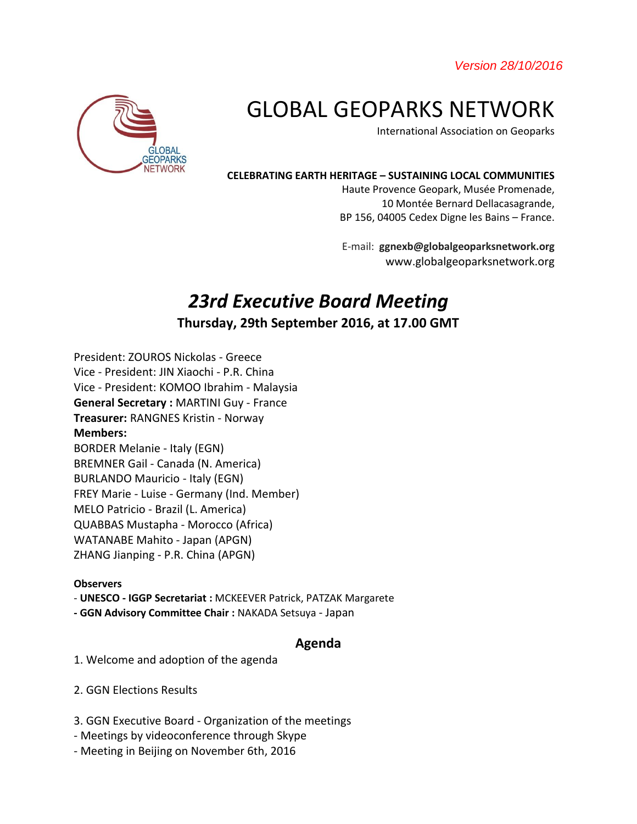*Version 28/10/2016* 



# GLOBAL GEOPARKS NETWORK

International Association on Geoparks

#### **CELEBRATING EARTH HERITAGE – SUSTAINING LOCAL COMMUNITIES**

Haute Provence Geopark, Musée Promenade, 10 Montée Bernard Dellacasagrande, BP 156, 04005 Cedex Digne les Bains – France.

E-mail: **ggnexb@globalgeoparksnetwork.org** www.globalgeoparksnetwork.org

# *23rd Executive Board Meeting* **Thursday, 29th September 2016, at 17.00 GMT**

President: ZOUROS Nickolas - Greece Vice - President: JIN Xiaochi - P.R. China Vice - President: KOMOO Ibrahim - Malaysia **General Secretary :** MARTINI Guy - France **Treasurer:** RANGNES Kristin - Norway **Members:**  BORDER Melanie - Italy (EGN) BREMNER Gail - Canada (N. America) BURLANDO Mauricio - Italy (EGN) FREY Marie - Luise - Germany (Ind. Member) MELO Patricio - Brazil (L. America) QUABBAS Mustapha - Morocco (Africa) WATANABE Mahito - Japan (APGN) ZHANG Jianping - P.R. China (APGN)

#### **Observers**

- **UNESCO - IGGP Secretariat :** MCKEEVER Patrick, PATZAK Margarete
- **- GGN Advisory Committee Chair :** NAKADA Setsuya Japan

### **Agenda**

- 1. Welcome and adoption of the agenda
- 2. GGN Elections Results
- 3. GGN Executive Board Organization of the meetings
- Meetings by videoconference through Skype
- Meeting in Beijing on November 6th, 2016